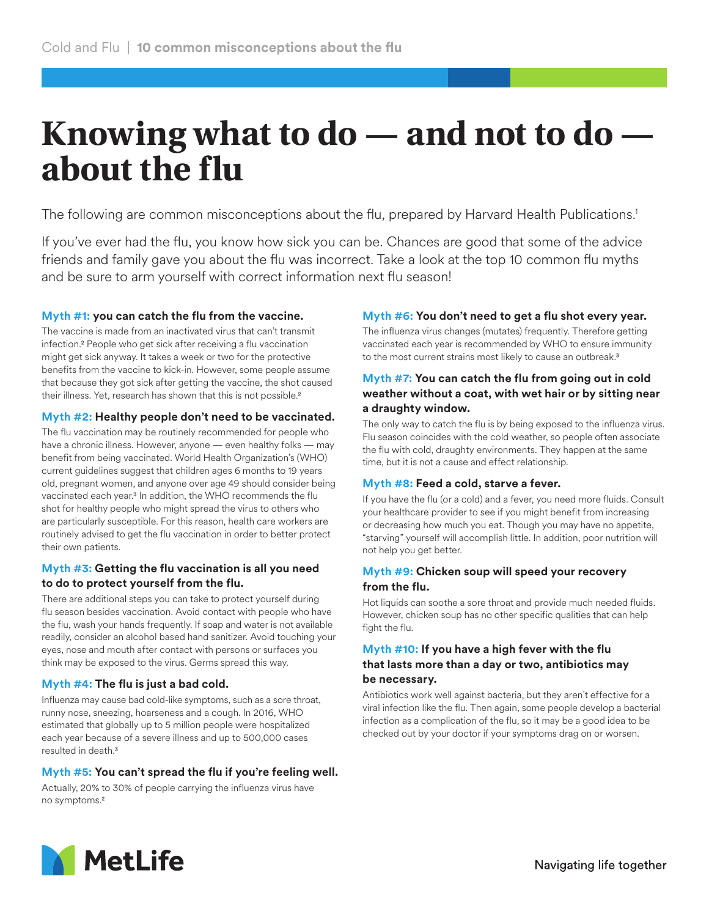# **Knowing what to do — and not to do about the flu**

The following are common misconceptions about the flu, prepared by Harvard Health Publications.<sup>1</sup>

If you've ever had the flu, you know how sick you can be. Chances are good that some of the advice friends and family gave you about the flu was incorrect. Take a look at the top 10 common flu myths and be sure to arm yourself with correct information next flu season!

## **Myth #1: you can catch the flu from the vaccine.**

The vaccine is made from an inactivated virus that can't transmit infection.2 People who get sick after receiving a flu vaccination might get sick anyway. It takes a week or two for the protective benefits from the vaccine to kick-in. However, some people assume that because they got sick after getting the vaccine, the shot caused their illness. Yet, research has shown that this is not possible.<sup>2</sup>

### **Myth #2: Healthy people don't need to be vaccinated.**

The flu vaccination may be routinely recommended for people who have a chronic illness. However, anyone — even healthy folks — may benefit from being vaccinated. World Health Organization's (WHO) current guidelines suggest that children ages 6 months to 19 years old, pregnant women, and anyone over age 49 should consider being vaccinated each year.3 In addition, the WHO recommends the flu shot for healthy people who might spread the virus to others who are particularly susceptible. For this reason, health care workers are routinely advised to get the flu vaccination in order to better protect their own patients.

### **Myth #3: Getting the flu vaccination is all you need to do to protect yourself from the flu.**

There are additional steps you can take to protect yourself during flu season besides vaccination. Avoid contact with people who have the flu, wash your hands frequently. If soap and water is not available readily, consider an alcohol based hand sanitizer. Avoid touching your eyes, nose and mouth after contact with persons or surfaces you think may be exposed to the virus. Germs spread this way.

## **Myth #4: The flu is just a bad cold.**

Influenza may cause bad cold-like symptoms, such as a sore throat, runny nose, sneezing, hoarseness and a cough. In 2016, WHO estimated that globally up to 5 million people were hospitalized each year because of a severe illness and up to 500,000 cases resulted in death.3

## **Myth #5: You can't spread the flu if you're feeling well.**

Actually, 20% to 30% of people carrying the influenza virus have no symptoms.2

## **Myth #6: You don't need to get a flu shot every year.**

The influenza virus changes (mutates) frequently. Therefore getting vaccinated each year is recommended by WHO to ensure immunity to the most current strains most likely to cause an outbreak.<sup>3</sup>

## **Myth #7: You can catch the flu from going out in cold weather without a coat, with wet hair or by sitting near a draughty window.**

The only way to catch the flu is by being exposed to the influenza virus. Flu season coincides with the cold weather, so people often associate the flu with cold, draughty environments. They happen at the same time, but it is not a cause and effect relationship.

## **Myth #8: Feed a cold, starve a fever.**

If you have the flu (or a cold) and a fever, you need more fluids. Consult your healthcare provider to see if you might benefit from increasing or decreasing how much you eat. Though you may have no appetite, "starving" yourself will accomplish little. In addition, poor nutrition will not help you get better.

#### **Myth #9: Chicken soup will speed your recovery from the flu.**

Hot liquids can soothe a sore throat and provide much needed fluids. However, chicken soup has no other specific qualities that can help fight the flu.

## **Myth #10: If you have a high fever with the flu that lasts more than a day or two, antibiotics may be necessary.**

Antibiotics work well against bacteria, but they aren't effective for a viral infection like the flu. Then again, some people develop a bacterial infection as a complication of the flu, so it may be a good idea to be checked out by your doctor if your symptoms drag on or worsen.